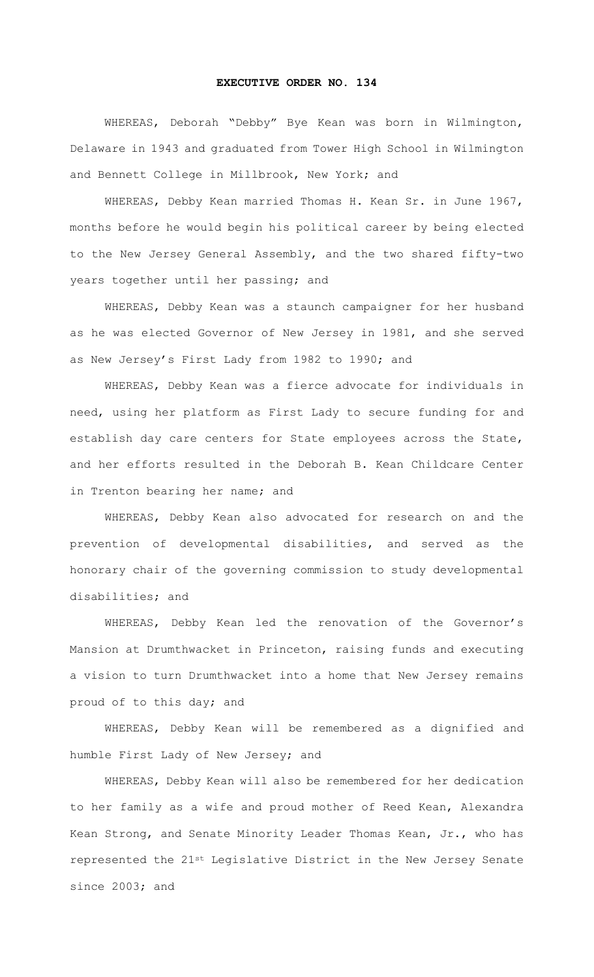## **EXECUTIVE ORDER NO. 134**

WHEREAS, Deborah "Debby" Bye Kean was born in Wilmington, Delaware in 1943 and graduated from Tower High School in Wilmington and Bennett College in Millbrook, New York; and

WHEREAS, Debby Kean married Thomas H. Kean Sr. in June 1967, months before he would begin his political career by being elected to the New Jersey General Assembly, and the two shared fifty-two years together until her passing; and

WHEREAS, Debby Kean was a staunch campaigner for her husband as he was elected Governor of New Jersey in 1981, and she served as New Jersey's First Lady from 1982 to 1990; and

WHEREAS, Debby Kean was a fierce advocate for individuals in need, using her platform as First Lady to secure funding for and establish day care centers for State employees across the State, and her efforts resulted in the Deborah B. Kean Childcare Center in Trenton bearing her name; and

WHEREAS, Debby Kean also advocated for research on and the prevention of developmental disabilities, and served as the honorary chair of the governing commission to study developmental disabilities; and

WHEREAS, Debby Kean led the renovation of the Governor's Mansion at Drumthwacket in Princeton, raising funds and executing a vision to turn Drumthwacket into a home that New Jersey remains proud of to this day; and

WHEREAS, Debby Kean will be remembered as a dignified and humble First Lady of New Jersey; and

WHEREAS, Debby Kean will also be remembered for her dedication to her family as a wife and proud mother of Reed Kean, Alexandra Kean Strong, and Senate Minority Leader Thomas Kean, Jr., who has represented the 21st Legislative District in the New Jersey Senate since 2003; and